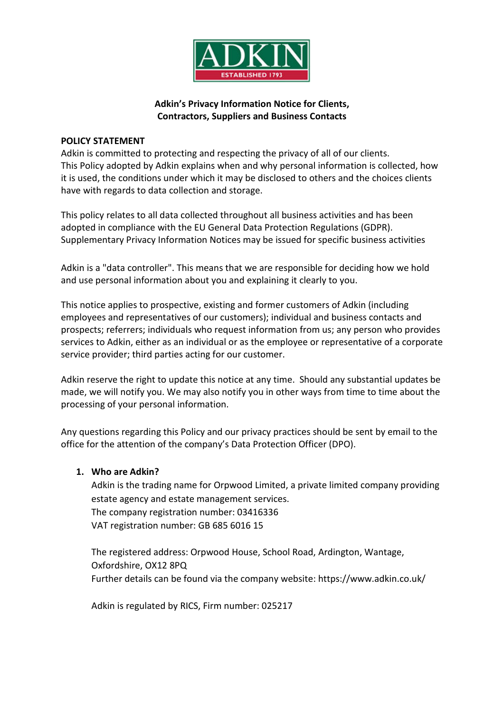

## **Adkin's Privacy Information Notice for Clients, Contractors, Suppliers and Business Contacts**

#### **POLICY STATEMENT**

Adkin is committed to protecting and respecting the privacy of all of our clients. This Policy adopted by Adkin explains when and why personal information is collected, how it is used, the conditions under which it may be disclosed to others and the choices clients have with regards to data collection and storage.

This policy relates to all data collected throughout all business activities and has been adopted in compliance with the EU General Data Protection Regulations (GDPR). Supplementary Privacy Information Notices may be issued for specific business activities

Adkin is a "data controller". This means that we are responsible for deciding how we hold and use personal information about you and explaining it clearly to you.

This notice applies to prospective, existing and former customers of Adkin (including employees and representatives of our customers); individual and business contacts and prospects; referrers; individuals who request information from us; any person who provides services to Adkin, either as an individual or as the employee or representative of a corporate service provider; third parties acting for our customer.

Adkin reserve the right to update this notice at any time. Should any substantial updates be made, we will notify you. We may also notify you in other ways from time to time about the processing of your personal information.

Any questions regarding this Policy and our privacy practices should be sent by email to the office for the attention of the company's Data Protection Officer (DPO).

### **1. Who are Adkin?**

Adkin is the trading name for Orpwood Limited, a private limited company providing estate agency and estate management services. The company registration number: 03416336 VAT registration number: GB 685 6016 15

The registered address: Orpwood House, School Road, Ardington, Wantage, Oxfordshire, OX12 8PQ Further details can be found via the company website: https://www.adkin.co.uk/

Adkin is regulated by RICS, Firm number: 025217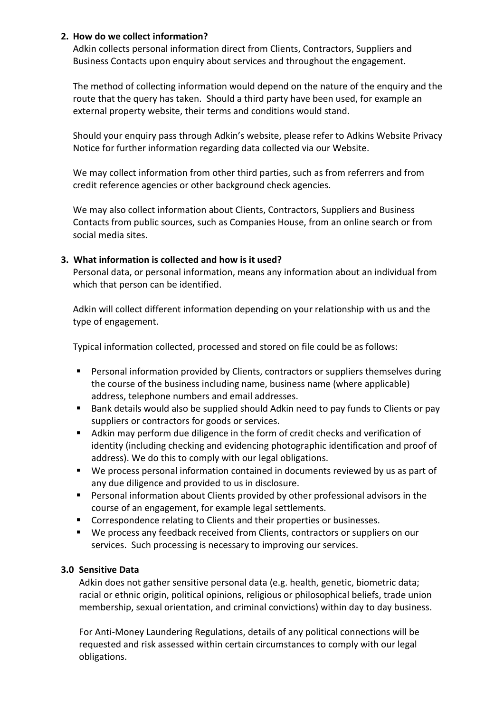#### **2. How do we collect information?**

Adkin collects personal information direct from Clients, Contractors, Suppliers and Business Contacts upon enquiry about services and throughout the engagement.

The method of collecting information would depend on the nature of the enquiry and the route that the query has taken. Should a third party have been used, for example an external property website, their terms and conditions would stand.

Should your enquiry pass through Adkin's website, please refer to Adkins Website Privacy Notice for further information regarding data collected via our Website.

We may collect information from other third parties, such as from referrers and from credit reference agencies or other background check agencies.

We may also collect information about Clients, Contractors, Suppliers and Business Contacts from public sources, such as Companies House, from an online search or from social media sites.

### **3. What information is collected and how is it used?**

Personal data, or personal information, means any information about an individual from which that person can be identified.

Adkin will collect different information depending on your relationship with us and the type of engagement.

Typical information collected, processed and stored on file could be as follows:

- Personal information provided by Clients, contractors or suppliers themselves during the course of the business including name, business name (where applicable) address, telephone numbers and email addresses.
- Bank details would also be supplied should Adkin need to pay funds to Clients or pay suppliers or contractors for goods or services.
- Adkin may perform due diligence in the form of credit checks and verification of identity (including checking and evidencing photographic identification and proof of address). We do this to comply with our legal obligations.
- We process personal information contained in documents reviewed by us as part of any due diligence and provided to us in disclosure.
- Personal information about Clients provided by other professional advisors in the course of an engagement, for example legal settlements.
- Correspondence relating to Clients and their properties or businesses.
- We process any feedback received from Clients, contractors or suppliers on our services. Such processing is necessary to improving our services.

### **3.0 Sensitive Data**

Adkin does not gather sensitive personal data (e.g. health, genetic, biometric data; racial or ethnic origin, political opinions, religious or philosophical beliefs, trade union membership, sexual orientation, and criminal convictions) within day to day business.

For Anti-Money Laundering Regulations, details of any political connections will be requested and risk assessed within certain circumstances to comply with our legal obligations.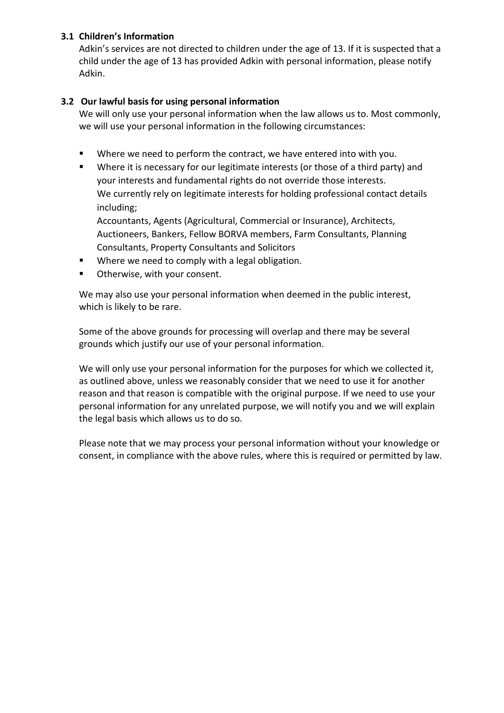# **3.1 Children's Information**

Adkin's services are not directed to children under the age of 13. If it is suspected that a child under the age of 13 has provided Adkin with personal information, please notify Adkin.

# **3.2 Our lawful basis for using personal information**

We will only use your personal information when the law allows us to. Most commonly, we will use your personal information in the following circumstances:

- Where we need to perform the contract, we have entered into with you.
- Where it is necessary for our legitimate interests (or those of a third party) and your interests and fundamental rights do not override those interests. We currently rely on legitimate interests for holding professional contact details including;

Accountants, Agents (Agricultural, Commercial or Insurance), Architects, Auctioneers, Bankers, Fellow BORVA members, Farm Consultants, Planning Consultants, Property Consultants and Solicitors

- Where we need to comply with a legal obligation.
- **•** Otherwise, with your consent.

We may also use your personal information when deemed in the public interest, which is likely to be rare.

Some of the above grounds for processing will overlap and there may be several grounds which justify our use of your personal information.

We will only use your personal information for the purposes for which we collected it, as outlined above, unless we reasonably consider that we need to use it for another reason and that reason is compatible with the original purpose. If we need to use your personal information for any unrelated purpose, we will notify you and we will explain the legal basis which allows us to do so.

Please note that we may process your personal information without your knowledge or consent, in compliance with the above rules, where this is required or permitted by law.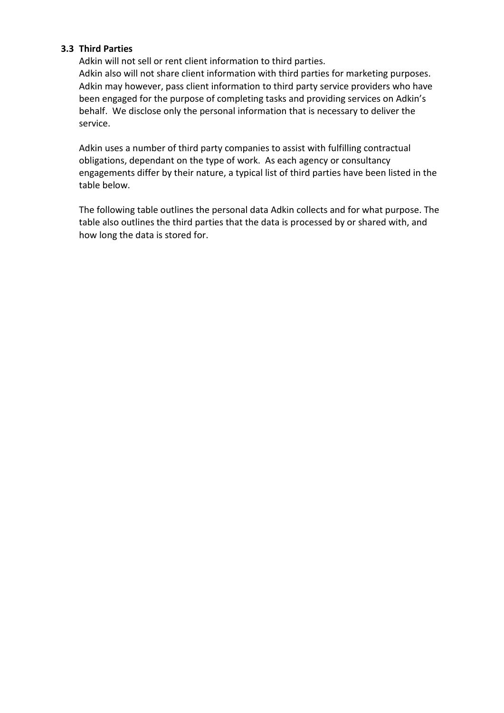#### **3.3 Third Parties**

Adkin will not sell or rent client information to third parties. Adkin also will not share client information with third parties for marketing purposes. Adkin may however, pass client information to third party service providers who have been engaged for the purpose of completing tasks and providing services on Adkin's behalf. We disclose only the personal information that is necessary to deliver the service.

Adkin uses a number of third party companies to assist with fulfilling contractual obligations, dependant on the type of work. As each agency or consultancy engagements differ by their nature, a typical list of third parties have been listed in the table below.

The following table outlines the personal data Adkin collects and for what purpose. The table also outlines the third parties that the data is processed by or shared with, and how long the data is stored for.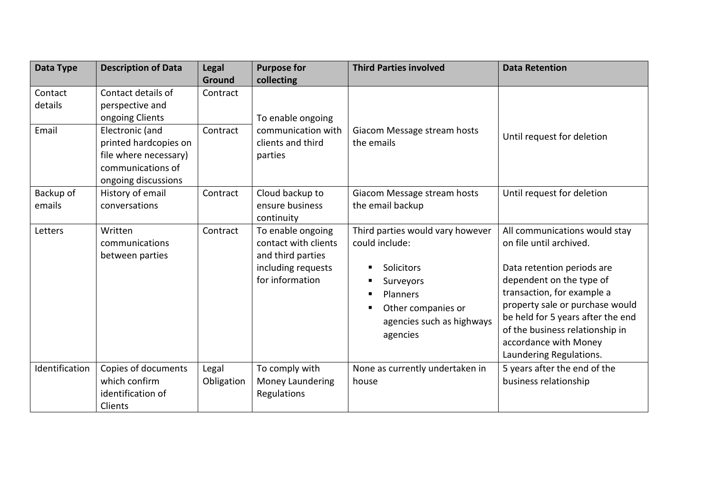| Data Type                   | <b>Description of Data</b>                                                                                                                                                | Legal<br>Ground      | <b>Purpose for</b><br>collecting                                                                        | <b>Third Parties involved</b>                                                                                                                                 | <b>Data Retention</b>                                                                                                                                                                                                                                                                                           |
|-----------------------------|---------------------------------------------------------------------------------------------------------------------------------------------------------------------------|----------------------|---------------------------------------------------------------------------------------------------------|---------------------------------------------------------------------------------------------------------------------------------------------------------------|-----------------------------------------------------------------------------------------------------------------------------------------------------------------------------------------------------------------------------------------------------------------------------------------------------------------|
| Contact<br>details<br>Email | Contact details of<br>perspective and<br>ongoing Clients<br>Electronic (and<br>printed hardcopies on<br>file where necessary)<br>communications of<br>ongoing discussions | Contract<br>Contract | To enable ongoing<br>communication with<br>clients and third<br>parties                                 | Giacom Message stream hosts<br>the emails                                                                                                                     | Until request for deletion                                                                                                                                                                                                                                                                                      |
| Backup of<br>emails         | History of email<br>conversations                                                                                                                                         | Contract             | Cloud backup to<br>ensure business<br>continuity                                                        | Giacom Message stream hosts<br>the email backup                                                                                                               | Until request for deletion                                                                                                                                                                                                                                                                                      |
| Letters                     | Written<br>communications<br>between parties                                                                                                                              | Contract             | To enable ongoing<br>contact with clients<br>and third parties<br>including requests<br>for information | Third parties would vary however<br>could include:<br>Solicitors<br>Surveyors<br>Planners<br>Other companies or<br>٠<br>agencies such as highways<br>agencies | All communications would stay<br>on file until archived.<br>Data retention periods are<br>dependent on the type of<br>transaction, for example a<br>property sale or purchase would<br>be held for 5 years after the end<br>of the business relationship in<br>accordance with Money<br>Laundering Regulations. |
| Identification              | Copies of documents<br>which confirm<br>identification of<br>Clients                                                                                                      | Legal<br>Obligation  | To comply with<br>Money Laundering<br>Regulations                                                       | None as currently undertaken in<br>house                                                                                                                      | 5 years after the end of the<br>business relationship                                                                                                                                                                                                                                                           |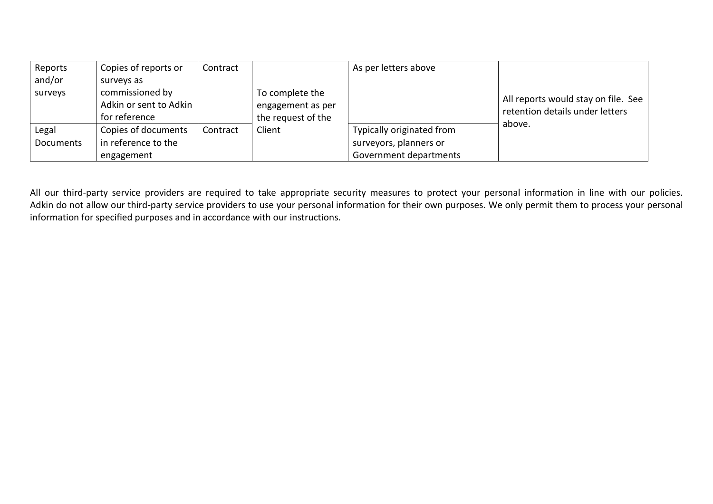| Reports   | Copies of reports or   | Contract |                    | As per letters above      |                                                                        |
|-----------|------------------------|----------|--------------------|---------------------------|------------------------------------------------------------------------|
| and/or    | surveys as             |          |                    |                           |                                                                        |
| surveys   | commissioned by        |          | To complete the    |                           |                                                                        |
|           | Adkin or sent to Adkin |          | engagement as per  |                           | All reports would stay on file. See<br>retention details under letters |
|           | for reference          |          | the request of the |                           |                                                                        |
| Legal     | Copies of documents    | Contract | Client             | Typically originated from | above.                                                                 |
| Documents | in reference to the    |          |                    | surveyors, planners or    |                                                                        |
|           | engagement             |          |                    | Government departments    |                                                                        |

All our third-party service providers are required to take appropriate security measures to protect your personal information in line with our policies. Adkin do not allow our third-party service providers to use your personal information for their own purposes. We only permit them to process your personal information for specified purposes and in accordance with our instructions.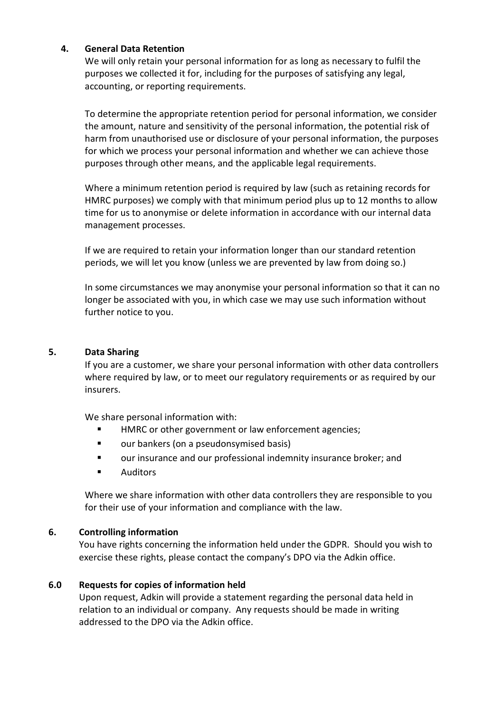#### **4. General Data Retention**

We will only retain your personal information for as long as necessary to fulfil the purposes we collected it for, including for the purposes of satisfying any legal, accounting, or reporting requirements.

To determine the appropriate retention period for personal information, we consider the amount, nature and sensitivity of the personal information, the potential risk of harm from unauthorised use or disclosure of your personal information, the purposes for which we process your personal information and whether we can achieve those purposes through other means, and the applicable legal requirements.

Where a minimum retention period is required by law (such as retaining records for HMRC purposes) we comply with that minimum period plus up to 12 months to allow time for us to anonymise or delete information in accordance with our internal data management processes.

If we are required to retain your information longer than our standard retention periods, we will let you know (unless we are prevented by law from doing so.)

In some circumstances we may anonymise your personal information so that it can no longer be associated with you, in which case we may use such information without further notice to you.

#### **5. Data Sharing**

If you are a customer, we share your personal information with other data controllers where required by law, or to meet our regulatory requirements or as required by our insurers.

We share personal information with:

- HMRC or other government or law enforcement agencies;
- **u** our bankers (on a pseudonsymised basis)
- **U** our insurance and our professional indemnity insurance broker; and
- Auditors

Where we share information with other data controllers they are responsible to you for their use of your information and compliance with the law.

#### **6. Controlling information**

You have rights concerning the information held under the GDPR. Should you wish to exercise these rights, please contact the company's DPO via the Adkin office.

### **6.0 Requests for copies of information held**

Upon request, Adkin will provide a statement regarding the personal data held in relation to an individual or company. Any requests should be made in writing addressed to the DPO via the Adkin office.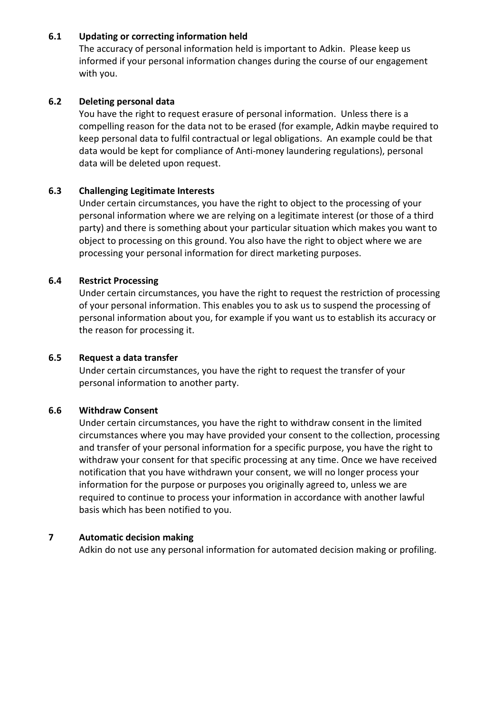## **6.1 Updating or correcting information held**

The accuracy of personal information held is important to Adkin. Please keep us informed if your personal information changes during the course of our engagement with you.

## **6.2 Deleting personal data**

You have the right to request erasure of personal information. Unless there is a compelling reason for the data not to be erased (for example, Adkin maybe required to keep personal data to fulfil contractual or legal obligations. An example could be that data would be kept for compliance of Anti-money laundering regulations), personal data will be deleted upon request.

## **6.3 Challenging Legitimate Interests**

Under certain circumstances, you have the right to object to the processing of your personal information where we are relying on a legitimate interest (or those of a third party) and there is something about your particular situation which makes you want to object to processing on this ground. You also have the right to object where we are processing your personal information for direct marketing purposes.

## **6.4 Restrict Processing**

Under certain circumstances, you have the right to request the restriction of processing of your personal information. This enables you to ask us to suspend the processing of personal information about you, for example if you want us to establish its accuracy or the reason for processing it.

### **6.5 Request a data transfer**

Under certain circumstances, you have the right to request the transfer of your personal information to another party.

### **6.6 Withdraw Consent**

Under certain circumstances, you have the right to withdraw consent in the limited circumstances where you may have provided your consent to the collection, processing and transfer of your personal information for a specific purpose, you have the right to withdraw your consent for that specific processing at any time. Once we have received notification that you have withdrawn your consent, we will no longer process your information for the purpose or purposes you originally agreed to, unless we are required to continue to process your information in accordance with another lawful basis which has been notified to you.

### **7 Automatic decision making**

Adkin do not use any personal information for automated decision making or profiling.